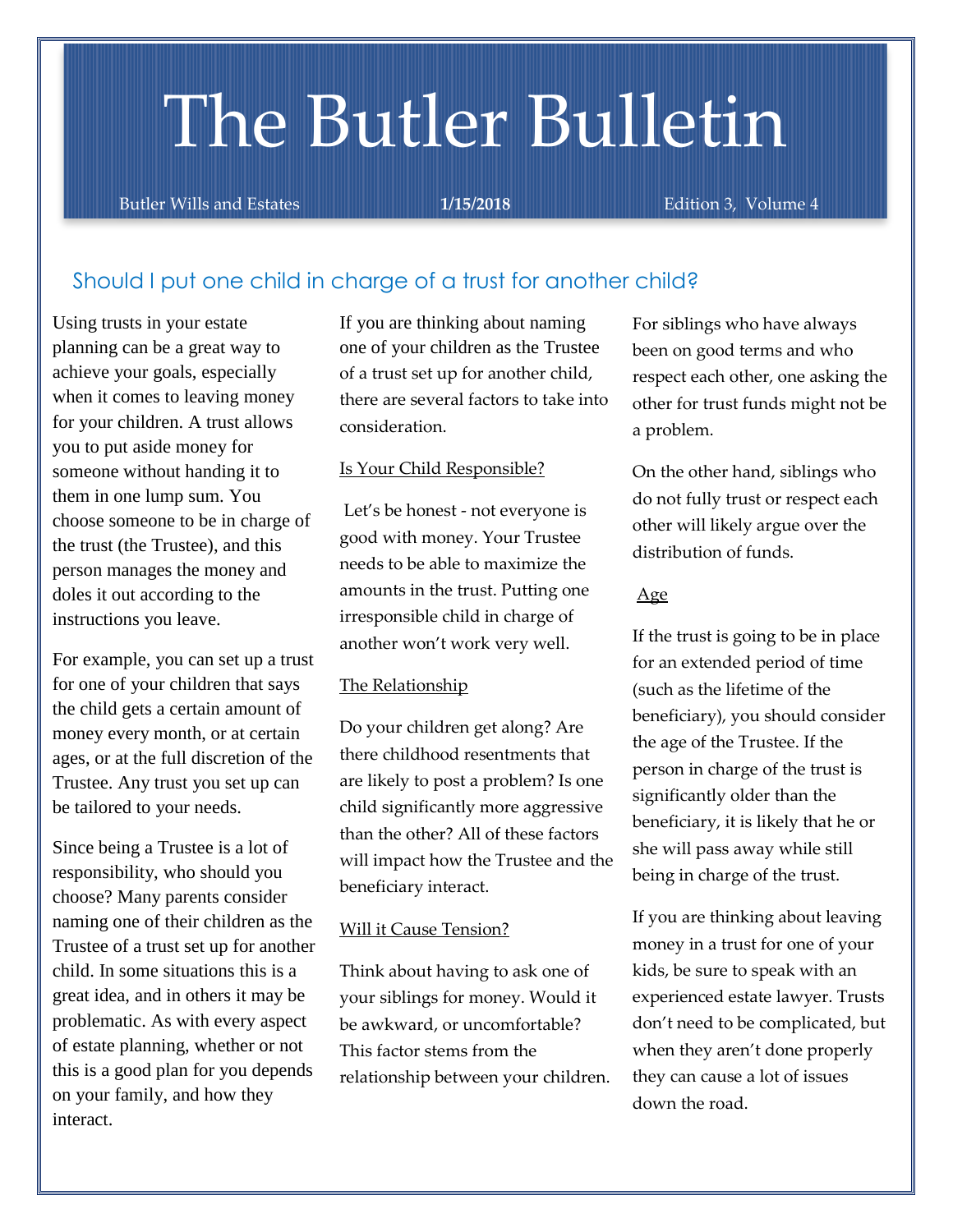# The Butler Bulletin

Butler Wills and Estates **1/15/2018** Edition 3, Volume 4

## Should I put one child in charge of a trust for another child?

Using trusts in your estate planning can be a great way to achieve your goals, especially when it comes to leaving money for your children. A trust allows you to put aside money for someone without handing it to them in one lump sum. You choose someone to be in charge of the trust (the Trustee), and this person manages the money and doles it out according to the instructions you leave.

For example, you can set up a trust for one of your children that says the child gets a certain amount of money every month, or at certain ages, or at the full discretion of the Trustee. Any trust you set up can be tailored to your needs.

Since being a Trustee is a lot of responsibility, who should you choose? Many parents consider naming one of their children as the Trustee of a trust set up for another child. In some situations this is a great idea, and in others it may be problematic. As with every aspect of estate planning, whether or not this is a good plan for you depends on your family, and how they interact.

If you are thinking about naming one of your children as the Trustee of a trust set up for another child, there are several factors to take into consideration.

#### Is Your Child Responsible?

Let's be honest - not everyone is good with money. Your Trustee needs to be able to maximize the amounts in the trust. Putting one irresponsible child in charge of another won't work very well.

#### The Relationship

Do your children get along? Are there childhood resentments that are likely to post a problem? Is one child significantly more aggressive than the other? All of these factors will impact how the Trustee and the beneficiary interact.

#### Will it Cause Tension?

Think about having to ask one of your siblings for money. Would it be awkward, or uncomfortable? This factor stems from the relationship between your children. For siblings who have always been on good terms and who respect each other, one asking the other for trust funds might not be a problem.

On the other hand, siblings who do not fully trust or respect each other will likely argue over the distribution of funds.

#### Age

If the trust is going to be in place for an extended period of time (such as the lifetime of the beneficiary), you should consider the age of the Trustee. If the person in charge of the trust is significantly older than the beneficiary, it is likely that he or she will pass away while still being in charge of the trust.

If you are thinking about leaving money in a trust for one of your kids, be sure to speak with an experienced estate lawyer. Trusts don't need to be complicated, but when they aren't done properly they can cause a lot of issues down the road.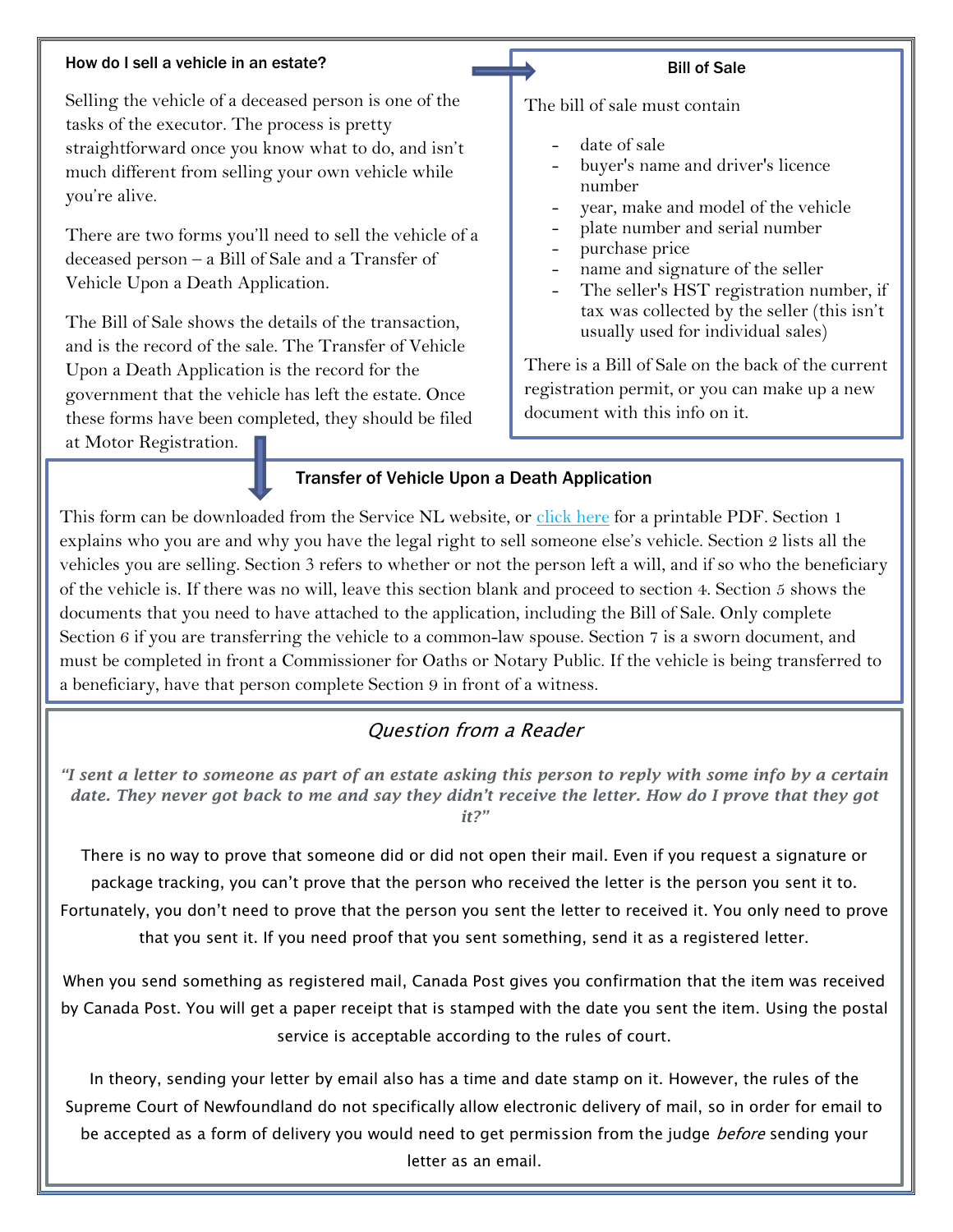#### How do I sell a vehicle in an estate?

Selling the vehicle of a deceased person is one of the tasks of the executor. The process is pretty straightforward once you know what to do, and isn't much different from selling your own vehicle while you're alive.

There are two forms you'll need to sell the vehicle of a deceased person – a Bill of Sale and a Transfer of Vehicle Upon a Death Application.

The Bill of Sale shows the details of the transaction, and is the record of the sale. The Transfer of Vehicle Upon a Death Application is the record for the government that the vehicle has left the estate. Once these forms have been completed, they should be filed

#### Bill of Sale

The bill of sale must contain

- date of sale
- buyer's name and driver's licence number
- year, make and model of the vehicle
- plate number and serial number
- purchase price
- name and signature of the seller
- The seller's HST registration number, if tax was collected by the seller (this isn't usually used for individual sales)

There is a Bill of Sale on the back of the current registration permit, or you can make up a new document with this info on it.

at Motor Registration.

#### Transfer of Vehicle Upon a Death Application

This form can be downloaded from the Service NL website, or [click here](http://www.servicenl.gov.nl.ca/drivers/driversandvehicles/vehicleregistration/transfer_upon_death_affidavit.pdf) for a printable PDF. Section 1 explains who you are and why you have the legal right to sell someone else's vehicle. Section 2 lists all the vehicles you are selling. Section 3 refers to whether or not the person left a will, and if so who the beneficiary of the vehicle is. If there was no will, leave this section blank and proceed to section 4. Section 5 shows the documents that you need to have attached to the application, including the Bill of Sale. Only complete Section 6 if you are transferring the vehicle to a common-law spouse. Section 7 is a sworn document, and must be completed in front a Commissioner for Oaths or Notary Public. If the vehicle is being transferred to a beneficiary, have that person complete Section 9 in front of a witness.

### Question from a Reader

*"I sent a letter to someone as part of an estate asking this person to reply with some info by a certain date. They never got back to me and say they didn't receive the letter. How do I prove that they got it?"*

There is no way to prove that someone did or did not open their mail. Even if you request a signature or package tracking, you can't prove that the person who received the letter is the person you sent it to. Fortunately, you don't need to prove that the person you sent the letter to received it. You only need to prove that you sent it. If you need proof that you sent something, send it as a registered letter.

When you send something as registered mail, Canada Post gives you confirmation that the item was received by Canada Post. You will get a paper receipt that is stamped with the date you sent the item. Using the postal service is acceptable according to the rules of court.

In theory, sending your letter by email also has a time and date stamp on it. However, the rules of the Supreme Court of Newfoundland do not specifically allow electronic delivery of mail, so in order for email to be accepted as a form of delivery you would need to get permission from the judge *before* sending your letter as an email.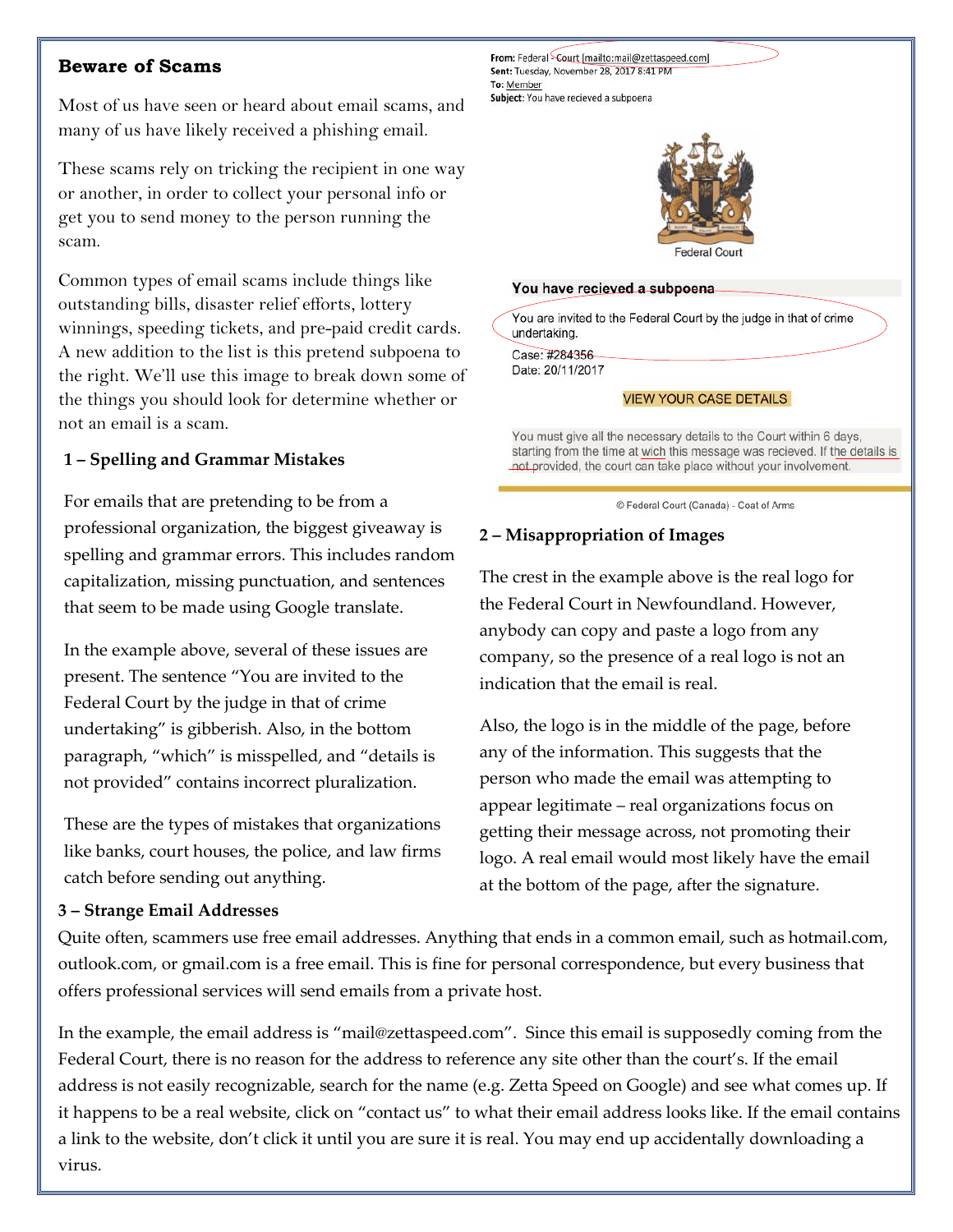#### **Beware of Scams**

Most of us have seen or heard about email scams, and many of us have likely received a phishing email.

These scams rely on tricking the recipient in one way or another, in order to collect your personal info or get you to send money to the person running the scam.

Common types of email scams include things like outstanding bills, disaster relief efforts, lottery winnings, speeding tickets, and pre-paid credit cards. A new addition to the list is this pretend subpoena to the right. We'll use this image to break down some of the things you should look for determine whether or not an email is a scam.

#### **1 – Spelling and Grammar Mistakes**

For emails that are pretending to be from a professional organization, the biggest giveaway is spelling and grammar errors. This includes random capitalization, missing punctuation, and sentences that seem to be made using Google translate.

In the example above, several of these issues are present. The sentence "You are invited to the Federal Court by the judge in that of crime undertaking" is gibberish. Also, in the bottom paragraph, "which" is misspelled, and "details is not provided" contains incorrect pluralization.

These are the types of mistakes that organizations like banks, court houses, the police, and law firms catch before sending out anything.

#### **3 – Strange Email Addresses**

Federal Court You have recieved a subpoena You are invited to the Federal Court by the judge in that of crime undertaking. Case: #284356 Date: 20/11/2017 **VIEW YOUR CASE DETAILS** You must give all the necessary details to the Court within 6 days,

starting from the time at wich this message was recieved. If the details is not provided, the court can take place without your involvement.

© Federal Court (Canada) - Coat of Arms

#### **2 – Misappropriation of Images**

From: Federal Court [mailto:mail@zettaspeed.com] Sent: Tuesday, November 28, 2017 8:41 PM

Subject: You have recieved a subpoena

To: Member

The crest in the example above is the real logo for the Federal Court in Newfoundland. However, anybody can copy and paste a logo from any company, so the presence of a real logo is not an indication that the email is real.

Also, the logo is in the middle of the page, before any of the information. This suggests that the person who made the email was attempting to appear legitimate – real organizations focus on getting their message across, not promoting their logo. A real email would most likely have the email at the bottom of the page, after the signature.

Quite often, scammers use free email addresses. Anything that ends in a common email, such as hotmail.com, outlook.com, or gmail.com is a free email. This is fine for personal correspondence, but every business that offers professional services will send emails from a private host.

In the example, the email address is "mail@zettaspeed.com". Since this email is supposedly coming from the Federal Court, there is no reason for the address to reference any site other than the court's. If the email address is not easily recognizable, search for the name (e.g. Zetta Speed on Google) and see what comes up. If it happens to be a real website, click on "contact us" to what their email address looks like. If the email contains a link to the website, don't click it until you are sure it is real. You may end up accidentally downloading a virus.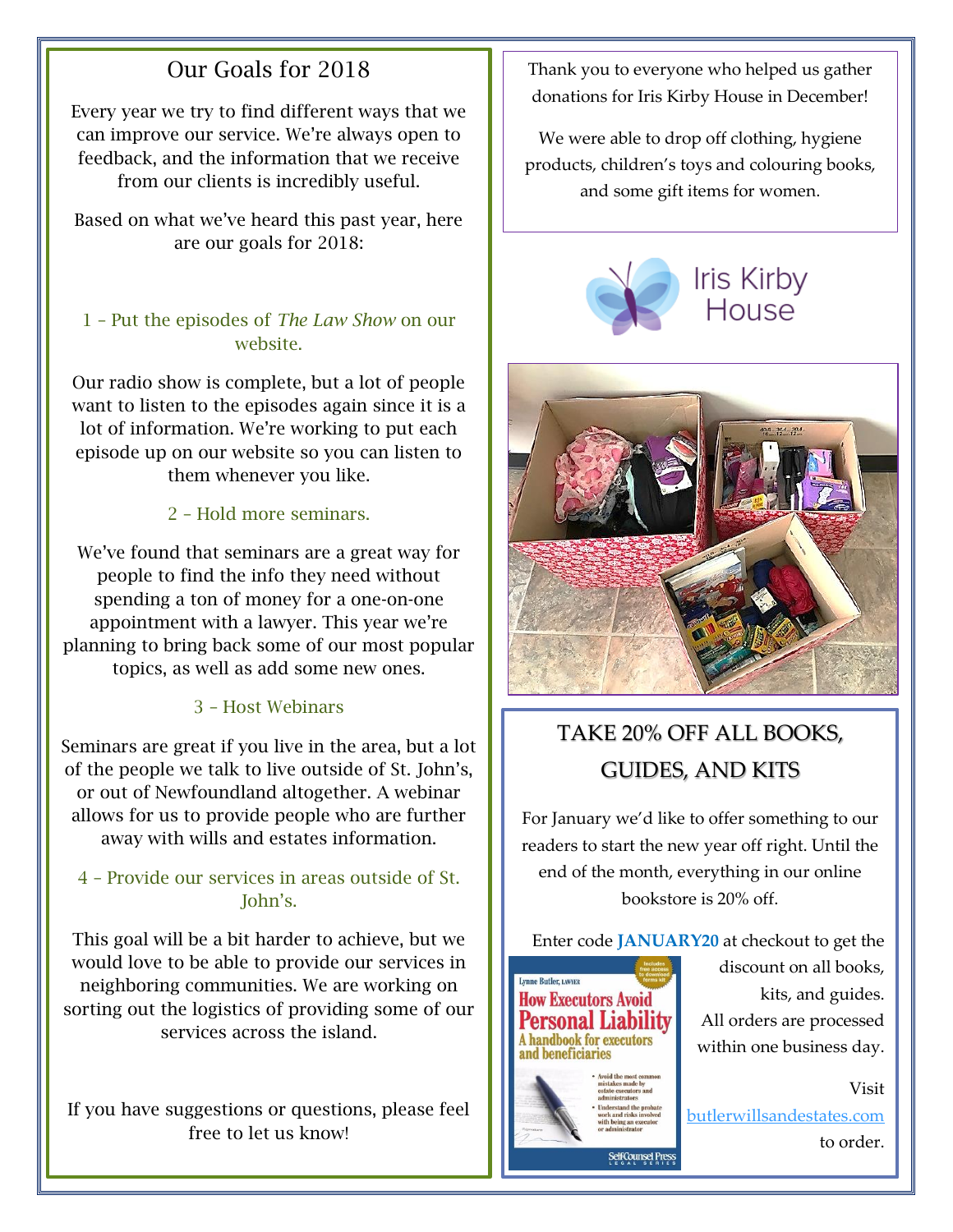## Our Goals for 2018

Every year we try to find different ways that we can improve our service. We're always open to feedback, and the information that we receive from our clients is incredibly useful.

Based on what we've heard this past year, here are our goals for 2018:

#### 1 – Put the episodes of *The Law Show* on our website.

Our radio show is complete, but a lot of people want to listen to the episodes again since it is a lot of information. We're working to put each episode up on our website so you can listen to them whenever you like.

#### 2 – Hold more seminars.

We've found that seminars are a great way for people to find the info they need without spending a ton of money for a one-on-one appointment with a lawyer. This year we're planning to bring back some of our most popular topics, as well as add some new ones.

#### 3 – Host Webinars

Seminars are great if you live in the area, but a lot of the people we talk to live outside of St. John's, or out of Newfoundland altogether. A webinar allows for us to provide people who are further away with wills and estates information.

#### 4 – Provide our services in areas outside of St. John's.

This goal will be a bit harder to achieve, but we would love to be able to provide our services in neighboring communities. We are working on sorting out the logistics of providing some of our services across the island.

If you have suggestions or questions, please feel free to let us know!

Thank you to everyone who helped us gather donations for Iris Kirby House in December!

We were able to drop off clothing, hygiene products, children's toys and colouring books, and some gift items for women.





# TAKE 20% OFF ALL BOOKS, GUIDES, AND KITS

For January we'd like to offer something to our readers to start the new year off right. Until the end of the month, everything in our online bookstore is 20% off.

Enter code **JANUARY20** at checkout to get the



discount on all books, kits, and guides. All orders are processed within one business day.

Visit [butlerwillsandestates.com](http://www.butlerwillsandestates.com/) to order.